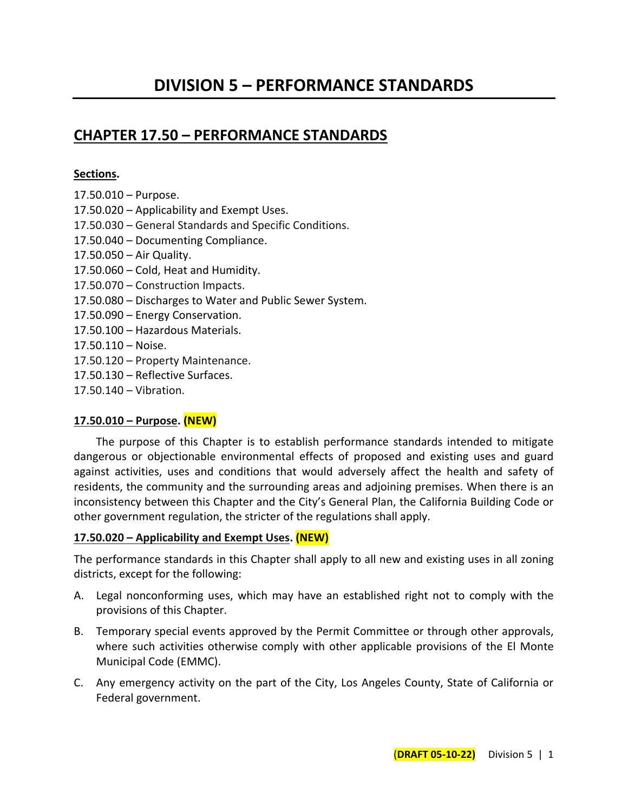# **CHAPTER 17.50 – PERFORMANCE STANDARDS**

#### **Sections.**

17.50.010 – Purpose. 17.50.020 – Applicability and Exempt Uses. 17.50.030 – General Standards and Specific Conditions. 17.50.040 – Documenting Compliance. 17.50.050 – Air Quality. 17.50.060 – Cold, Heat and Humidity. 17.50.070 – Construction Impacts. 17.50.080 – Discharges to Water and Public Sewer System. 17.50.090 – Energy Conservation. 17.50.100 – Hazardous Materials. 17.50.110 – Noise. 17.50.120 – Property Maintenance. 17.50.130 – Reflective Surfaces. 17.50.140 – Vibration.

## **17.50.010 – Purpose. (NEW)**

The purpose of this Chapter is to establish performance standards intended to mitigate dangerous or objectionable environmental effects of proposed and existing uses and guard against activities, uses and conditions that would adversely affect the health and safety of residents, the community and the surrounding areas and adjoining premises. When there is an inconsistency between this Chapter and the City's General Plan, the California Building Code or other government regulation, the stricter of the regulations shall apply.

## **17.50.020 – Applicability and Exempt Uses. (NEW)**

The performance standards in this Chapter shall apply to all new and existing uses in all zoning districts, except for the following:

- A. Legal nonconforming uses, which may have an established right not to comply with the provisions of this Chapter.
- B. Temporary special events approved by the Permit Committee or through other approvals, where such activities otherwise comply with other applicable provisions of the El Monte Municipal Code (EMMC).
- C. Any emergency activity on the part of the City, Los Angeles County, State of California or Federal government.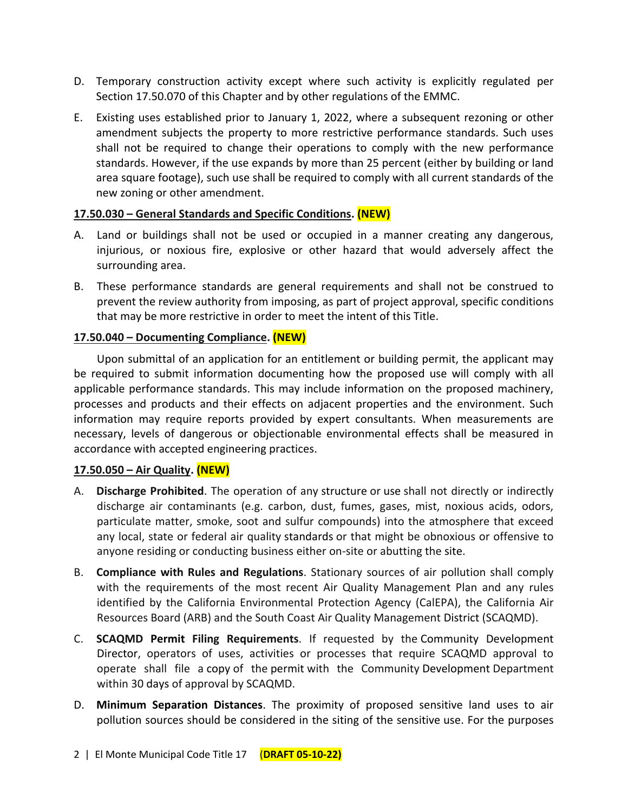- D. Temporary construction activity except where such activity is explicitly regulated per Section 17.50.070 of this Chapter and by other regulations of the EMMC.
- E. Existing uses established prior to January 1, 2022, where a subsequent rezoning or other amendment subjects the property to more restrictive performance standards. Such uses shall not be required to change their operations to comply with the new performance standards. However, if the use expands by more than 25 percent (either by building or land area square footage), such use shall be required to comply with all current standards of the new zoning or other amendment.

## **17.50.030 – General Standards and Specific Conditions. (NEW)**

- A. Land or buildings shall not be used or occupied in a manner creating any dangerous, injurious, or noxious fire, explosive or other hazard that would adversely affect the surrounding area.
- B. These performance standards are general requirements and shall not be construed to prevent the review authority from imposing, as part of project approval, specific conditions that may be more restrictive in order to meet the intent of this Title.

#### **17.50.040 – Documenting Compliance. (NEW)**

Upon submittal of an application for an entitlement or building permit, the applicant may be required to submit information documenting how the proposed use will comply with all applicable performance standards. This may include information on the proposed machinery, processes and products and their effects on adjacent properties and the environment. Such information may require reports provided by expert consultants. When measurements are necessary, levels of dangerous or objectionable environmental effects shall be measured in accordance with accepted engineering practices.

#### **17.50.050 – Air Quality. (NEW)**

- A. **Discharge Prohibited**. The operation of any [structure](http://online.encodeplus.com/regs/menifee-ca/doc-view.aspx?pn=0&ajax=0&secid=1936) or [use](http://online.encodeplus.com/regs/menifee-ca/doc-view.aspx?pn=0&ajax=0&secid=1954) shall not directly or indirectly discharge air contaminants (e.g. carbon, dust, fumes, gases, mist, noxious acids, odors, particulate matter, smoke, soot and sulfur compounds) into the atmosphere that exceed any local, state or federal air quality [standards](http://online.encodeplus.com/regs/menifee-ca/doc-view.aspx?pn=0&ajax=0&secid=1931) or that might be obnoxious or offensive to anyone residing or conducting business either on-site or abutting the [site.](http://online.encodeplus.com/regs/menifee-ca/doc-view.aspx?pn=0&ajax=0&secid=1926)
- B. **Compliance with Rules and Regulations**. Stationary sources of air pollution shall comply with the requirements of the most recent Air Quality Management Plan and any rules identified by the California Environmental Protection Agency (CalEPA), the California Air Resources Board (ARB) and the South Coast Air Quality Management [District](http://online.encodeplus.com/regs/menifee-ca/doc-view.aspx?pn=0&ajax=0&secid=1696) (SCAQMD).
- C. **SCAQMD [Permit](http://online.encodeplus.com/regs/menifee-ca/doc-view.aspx?pn=0&ajax=0&secid=1850) Filing Requirements**. If requested by the [Community Development](http://online.encodeplus.com/regs/menifee-ca/doc-view.aspx?pn=0&ajax=0&secid=1668)  [Director,](http://online.encodeplus.com/regs/menifee-ca/doc-view.aspx?pn=0&ajax=0&secid=1668) operators of uses, activities or processes that require SCAQMD approval to operate shall file a [copy](http://online.encodeplus.com/regs/menifee-ca/doc-view.aspx?pn=0&ajax=0&secid=2069) of the [permit](http://online.encodeplus.com/regs/menifee-ca/doc-view.aspx?pn=0&ajax=0&secid=1850) with the Community [Development](http://online.encodeplus.com/regs/menifee-ca/doc-view.aspx?pn=0&ajax=0&secid=1690) Department within 30 [days](http://online.encodeplus.com/regs/menifee-ca/doc-view.aspx?pn=0&ajax=0&secid=1684) of approval by SCAQMD.
- D. **Minimum Separation Distances**. The proximity of proposed sensitive land uses to air pollution sources should be considered in the siting of the sensitive [use.](http://online.encodeplus.com/regs/menifee-ca/doc-view.aspx?pn=0&ajax=0&secid=1954) For the purposes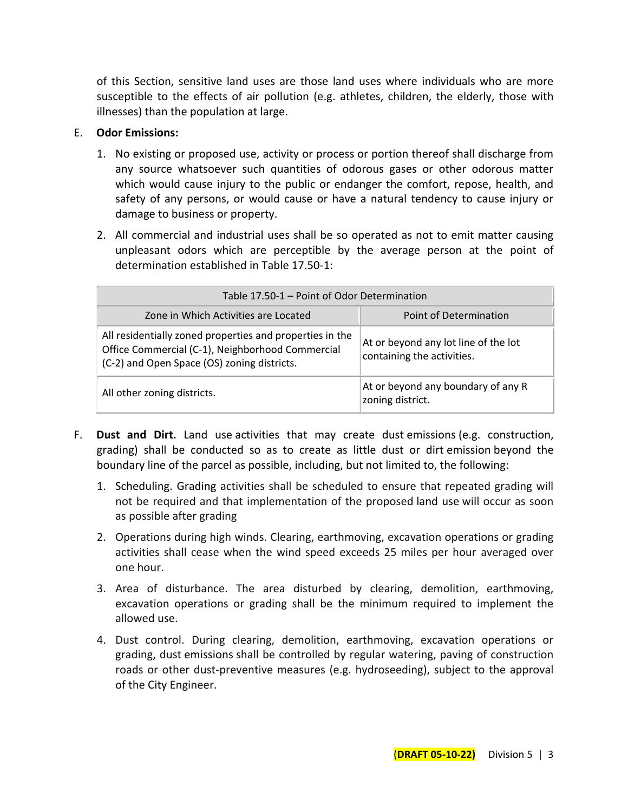of this Section, sensitive land uses are those land uses where individuals who are more susceptible to the effects of air pollution (e.g. athletes, children, the elderly, those with illnesses) than the population at large.

#### E. **Odor Emissions:**

- 1. No existing or proposed use, activity or process or portion thereof shall discharge from any source whatsoever such quantities of odorous gases or other odorous matter which would cause injury to the public or endanger the comfort, repose, health, and safety of any persons, or would cause or have a natural tendency to cause injury or damage to business or property.
- 2. All commercial and industrial uses shall be so operated as not to emit matter causing unpleasant odors which are perceptible by the average person at the point of determination established in Table 17.50-1:

| Table 17.50-1 – Point of Odor Determination                                                                                                                 |                                                                    |  |  |
|-------------------------------------------------------------------------------------------------------------------------------------------------------------|--------------------------------------------------------------------|--|--|
| Zone in Which Activities are Located                                                                                                                        | Point of Determination                                             |  |  |
| All residentially zoned properties and properties in the<br>Office Commercial (C-1), Neighborhood Commercial<br>(C-2) and Open Space (OS) zoning districts. | At or beyond any lot line of the lot<br>containing the activities. |  |  |
| All other zoning districts.                                                                                                                                 | At or beyond any boundary of any R<br>zoning district.             |  |  |

- F. **Dust and Dirt.** [Land use](http://online.encodeplus.com/regs/menifee-ca/doc-view.aspx?pn=0&ajax=0&secid=1777) activities that may create dust [emissions](http://online.encodeplus.com/regs/menifee-ca/doc-view.aspx?pn=0&ajax=0&secid=1713) (e.g. construction, grading) shall be conducted so as to create as little dust or dirt [emission](http://online.encodeplus.com/regs/menifee-ca/doc-view.aspx?pn=0&ajax=0&secid=1713) beyond the boundary line of the parcel as possible, including, but not limited to, the following:
	- 1. Scheduling. Grading activities shall be scheduled to ensure that repeated grading will not be required and that implementation of the proposed [land use](http://online.encodeplus.com/regs/menifee-ca/doc-view.aspx?pn=0&ajax=0&secid=1777) will occur as soon as possible after grading
	- 2. Operations during high winds. Clearing, earthmoving, excavation operations or grading activities shall cease when the wind speed exceeds 25 miles per hour averaged over one hour.
	- 3. Area of disturbance. The area disturbed by clearing, demolition, earthmoving, excavation operations or grading shall be the minimum required to implement the allowed [use.](http://online.encodeplus.com/regs/menifee-ca/doc-view.aspx?pn=0&ajax=0&secid=1954)
	- 4. Dust control. During clearing, demolition, earthmoving, excavation operations or grading, dust [emissions](http://online.encodeplus.com/regs/menifee-ca/doc-view.aspx?pn=0&ajax=0&secid=1713) shall be controlled by regular watering, paving of construction roads or other dust-preventive measures (e.g. hydroseeding), subject to the approval of the [City](http://online.encodeplus.com/regs/menifee-ca/doc-view.aspx?pn=0&ajax=0&secid=1658) Engineer.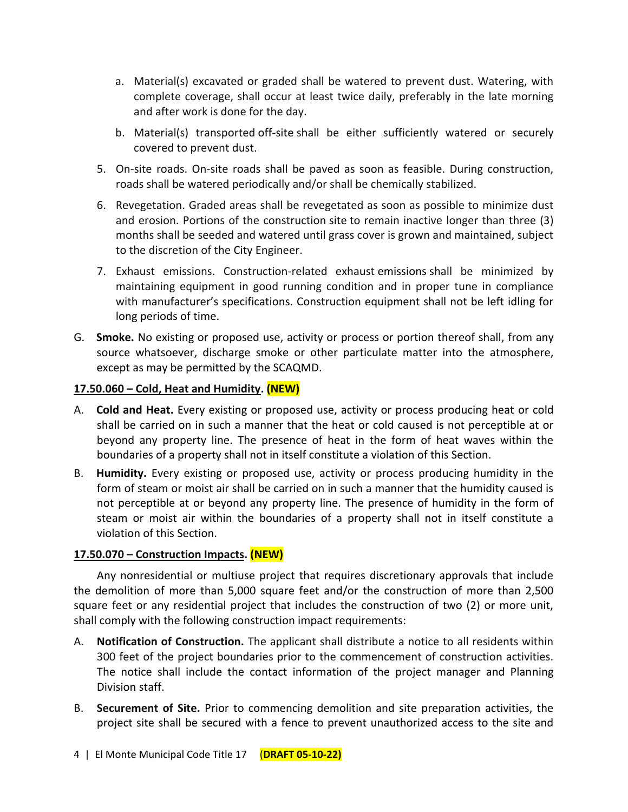- a. Material(s) excavated or graded shall be watered to prevent dust. Watering, with complete coverage, shall occur at least twice daily, preferably in the late morning and after work is done for the day.
- b. Material(s) transported [off-site](http://online.encodeplus.com/regs/menifee-ca/doc-view.aspx?pn=0&ajax=0&secid=1833) shall be either sufficiently watered or securely covered to prevent dust.
- 5. On-site roads. On-site roads shall be paved as soon as feasible. During construction, roads shall be watered periodically and/or shall be chemically stabilized.
- 6. Revegetation. Graded areas shall be revegetated as soon as possible to minimize dust and erosion. Portions of the construction [site](http://online.encodeplus.com/regs/menifee-ca/doc-view.aspx?pn=0&ajax=0&secid=1926) to remain inactive longer than three (3) months shall be seeded and watered until grass cover is grown and maintained, subject to the discretion of the [City](http://online.encodeplus.com/regs/menifee-ca/doc-view.aspx?pn=0&ajax=0&secid=1658) Engineer.
- 7. Exhaust emissions. Construction-related exhaust [emissions](http://online.encodeplus.com/regs/menifee-ca/doc-view.aspx?pn=0&ajax=0&secid=1713) shall be minimized by maintaining equipment in good running condition and in proper tune in compliance with manufacturer's specifications. Construction equipment shall not be left idling for long periods of time.
- G. **Smoke.** No existing or proposed use, activity or process or portion thereof shall, from any source whatsoever, discharge smoke or other particulate matter into the atmosphere, except as may be permitted by the SCAQMD.

#### **17.50.060 – Cold, Heat and Humidity. (NEW)**

- A. **Cold and Heat.** Every existing or proposed use, activity or process producing heat or cold shall be carried on in such a manner that the heat or cold caused is not perceptible at or beyond any property line. The presence of heat in the form of heat waves within the boundaries of a property shall not in itself constitute a violation of this Section.
- B. **Humidity.** Every existing or proposed use, activity or process producing humidity in the form of steam or moist air shall be carried on in such a manner that the humidity caused is not perceptible at or beyond any property line. The presence of humidity in the form of steam or moist air within the boundaries of a property shall not in itself constitute a violation of this Section.

## **17.50.070 – Construction Impacts. (NEW)**

Any nonresidential or multiuse project that requires discretionary approvals that include the demolition of more than 5,000 square feet and/or the construction of more than 2,500 square feet or any residential project that includes the construction of two (2) or more unit, shall comply with the following construction impact requirements:

- A. **Notification of Construction.** The applicant shall distribute a notice to all residents within 300 feet of the project boundaries prior to the commencement of construction activities. The notice shall include the contact information of the project manager and Planning Division staff.
- B. **Securement of Site.** Prior to commencing demolition and site preparation activities, the project site shall be secured with a fence to prevent unauthorized access to the site and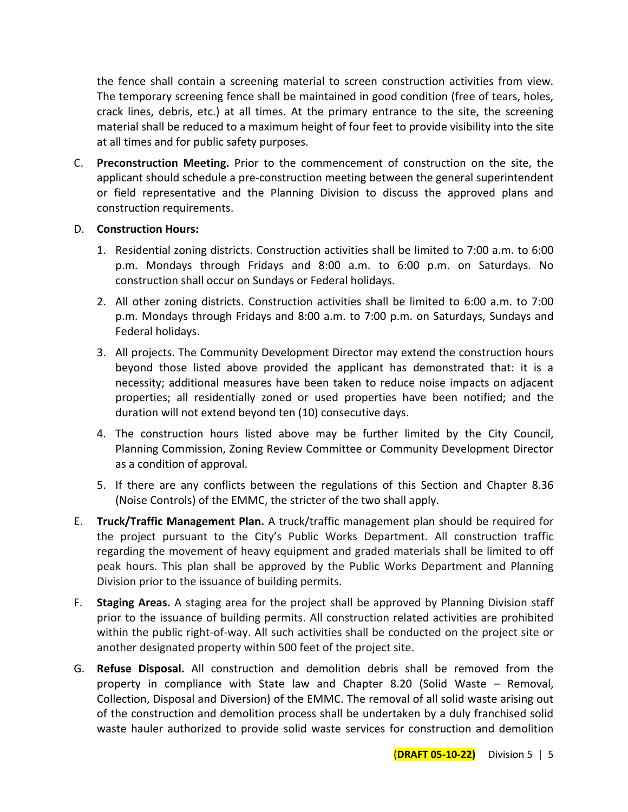the fence shall contain a screening material to screen construction activities from view. The temporary screening fence shall be maintained in good condition (free of tears, holes, crack lines, debris, etc.) at all times. At the primary entrance to the site, the screening material shall be reduced to a maximum height of four feet to provide visibility into the site at all times and for public safety purposes.

C. **Preconstruction Meeting.** Prior to the commencement of construction on the site, the applicant should schedule a pre-construction meeting between the general superintendent or field representative and the Planning Division to discuss the approved plans and construction requirements.

#### D. **Construction Hours:**

- 1. Residential zoning districts. Construction activities shall be limited to 7:00 a.m. to 6:00 p.m. Mondays through Fridays and 8:00 a.m. to 6:00 p.m. on Saturdays. No construction shall occur on Sundays or Federal holidays.
- 2. All other zoning districts. Construction activities shall be limited to 6:00 a.m. to 7:00 p.m. Mondays through Fridays and 8:00 a.m. to 7:00 p.m. on Saturdays, Sundays and Federal holidays.
- 3. All projects. The Community Development Director may extend the construction hours beyond those listed above provided the applicant has demonstrated that: it is a necessity; additional measures have been taken to reduce noise impacts on adjacent properties; all residentially zoned or used properties have been notified; and the duration will not extend beyond ten (10) consecutive days.
- 4. The construction hours listed above may be further limited by the City Council, Planning Commission, Zoning Review Committee or Community Development Director as a condition of approval.
- 5. If there are any conflicts between the regulations of this Section and Chapter 8.36 (Noise Controls) of the EMMC, the stricter of the two shall apply.
- E. **Truck/Traffic Management Plan.** A truck/traffic management plan should be required for the project pursuant to the City's Public Works Department. All construction traffic regarding the movement of heavy equipment and graded materials shall be limited to off peak hours. This plan shall be approved by the Public Works Department and Planning Division prior to the issuance of building permits.
- F. **Staging Areas.** A staging area for the project shall be approved by Planning Division staff prior to the issuance of building permits. All construction related activities are prohibited within the public right-of-way. All such activities shall be conducted on the project site or another designated property within 500 feet of the project site.
- G. **Refuse Disposal.** All construction and demolition debris shall be removed from the property in compliance with State law and Chapter 8.20 (Solid Waste – Removal, Collection, Disposal and Diversion) of the EMMC. The removal of all solid waste arising out of the construction and demolition process shall be undertaken by a duly franchised solid waste hauler authorized to provide solid waste services for construction and demolition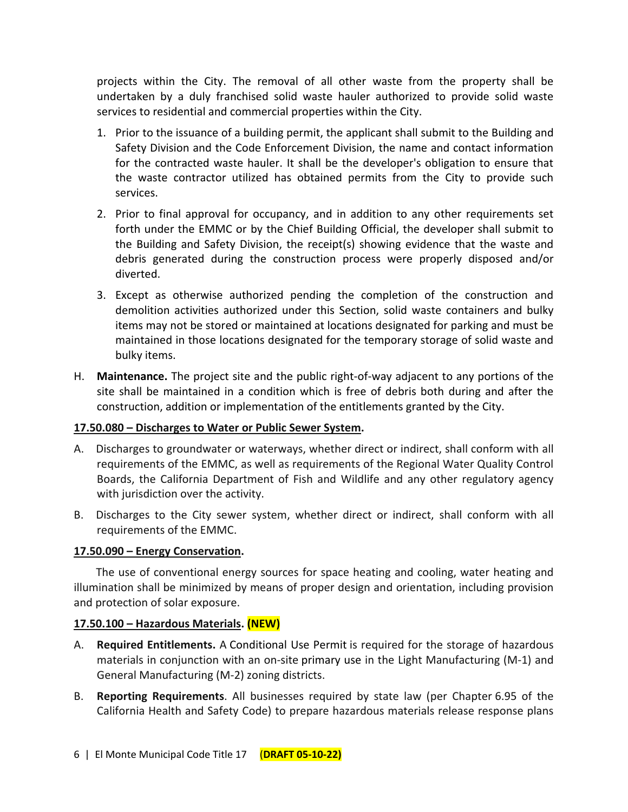projects within the City. The removal of all other waste from the property shall be undertaken by a duly franchised solid waste hauler authorized to provide solid waste services to residential and commercial properties within the City.

- 1. Prior to the issuance of a building permit, the applicant shall submit to the Building and Safety Division and the Code Enforcement Division, the name and contact information for the contracted waste hauler. It shall be the developer's obligation to ensure that the waste contractor utilized has obtained permits from the City to provide such services.
- 2. Prior to final approval for occupancy, and in addition to any other requirements set forth under the EMMC or by the Chief Building Official, the developer shall submit to the Building and Safety Division, the receipt(s) showing evidence that the waste and debris generated during the construction process were properly disposed and/or diverted.
- 3. Except as otherwise authorized pending the completion of the construction and demolition activities authorized under this Section, solid waste containers and bulky items may not be stored or maintained at locations designated for parking and must be maintained in those locations designated for the temporary storage of solid waste and bulky items.
- H. **Maintenance.** The project site and the public right-of-way adjacent to any portions of the site shall be maintained in a condition which is free of debris both during and after the construction, addition or implementation of the entitlements granted by the City.

## **17.50.080 – Discharges to Water or Public Sewer System.**

- A. Discharges to groundwater or waterways, whether direct or indirect, shall conform with all requirements of the EMMC, as well as requirements of the Regional Water Quality Control Boards, the California Department of Fish and Wildlife and any other regulatory agency with jurisdiction over the activity.
- B. Discharges to the City sewer system, whether direct or indirect, shall conform with all requirements of the EMMC.

## **17.50.090 – Energy Conservation.**

The use of conventional energy sources for space heating and cooling, water heating and illumination shall be minimized by means of proper design and orientation, including provision and protection of solar exposure.

## **17.50.100 – Hazardous Materials. (NEW)**

- A. **Required Entitlements.** A [Conditional Use Permit](http://online.encodeplus.com/regs/menifee-ca/doc-view.aspx?pn=0&ajax=0&secid=1671) is required for the storage of hazardous materials in conjunction with an on-site [primary use](http://online.encodeplus.com/regs/menifee-ca/doc-view.aspx?pn=0&ajax=0&secid=1956) in the Light Manufacturing (M-1) and General Manufacturing (M-2) zoning districts.
- B. **Reporting Requirements**. All businesses required by state law (per Chapter 6.95 of the California Health and Safety Code) to prepare hazardous materials release response plans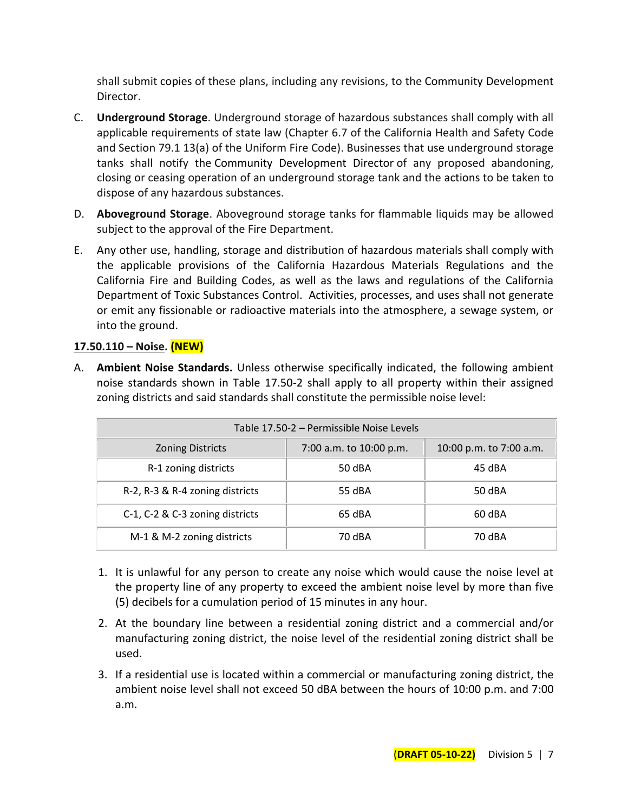shall submit [copies](http://online.encodeplus.com/regs/menifee-ca/doc-view.aspx?pn=0&ajax=0&secid=2069) of these plans, including any revisions, to the [Community Development](http://online.encodeplus.com/regs/menifee-ca/doc-view.aspx?pn=0&ajax=0&secid=1668)  [Director.](http://online.encodeplus.com/regs/menifee-ca/doc-view.aspx?pn=0&ajax=0&secid=1668)

- C. **Underground Storage**. Underground storage of hazardous substances shall comply with all applicable requirements of state law (Chapter 6.7 of the California Health and Safety Code and Section 79.1 13(a) of the Uniform Fire Code). Businesses that [use](http://online.encodeplus.com/regs/menifee-ca/doc-view.aspx?pn=0&ajax=0&secid=1954) underground storage tanks shall notify the [Community Development](http://online.encodeplus.com/regs/menifee-ca/doc-view.aspx?pn=0&ajax=0&secid=1668) Director of any proposed abandoning, closing or ceasing operation of an underground storage tank and the [actions](http://online.encodeplus.com/regs/menifee-ca/doc-view.aspx?pn=0&ajax=0&secid=1611) to be taken to dispose of any hazardous substances.
- D. **Aboveground Storage**. Aboveground storage tanks for flammable liquids may be allowed subject to the approval of the Fire Department.
- E. Any other use, handling, storage and distribution of hazardous materials shall comply with the applicable provisions of the California Hazardous Materials Regulations and the California Fire and Building Codes, as well as the laws and regulations of the California Department of Toxic Substances Control. Activities, processes, and uses shall not generate or emit any fissionable or radioactive materials into the atmosphere, a sewage system, or into the ground.

# **17.50.110 – Noise. (NEW)**

A. **Ambient Noise Standards.** Unless otherwise specifically indicated, the following ambient noise standards shown in Table 17.50-2 shall apply to all property within their assigned zoning districts and said standards shall constitute the permissible noise level:

| Table 17.50-2 – Permissible Noise Levels |                         |                         |
|------------------------------------------|-------------------------|-------------------------|
| <b>Zoning Districts</b>                  | 7:00 a.m. to 10:00 p.m. | 10:00 p.m. to 7:00 a.m. |
| R-1 zoning districts                     | 50 dBA                  | 45 dBA                  |
| R-2, R-3 & R-4 zoning districts          | 55 dBA                  | 50 dBA                  |
| C-1, C-2 & C-3 zoning districts          | 65 dBA                  | 60 dBA                  |
| M-1 & M-2 zoning districts               | 70 dBA                  | 70 dBA                  |

- 1. It is unlawful for any person to create any noise which would cause the noise level at the property line of any property to exceed the ambient noise level by more than five (5) decibels for a cumulation period of 15 minutes in any hour.
- 2. At the boundary line between a residential zoning district and a commercial and/or manufacturing zoning district, the noise level of the residential zoning district shall be used.
- 3. If a residential use is located within a commercial or manufacturing zoning district, the ambient noise level shall not exceed 50 dBA between the hours of 10:00 p.m. and 7:00 a.m.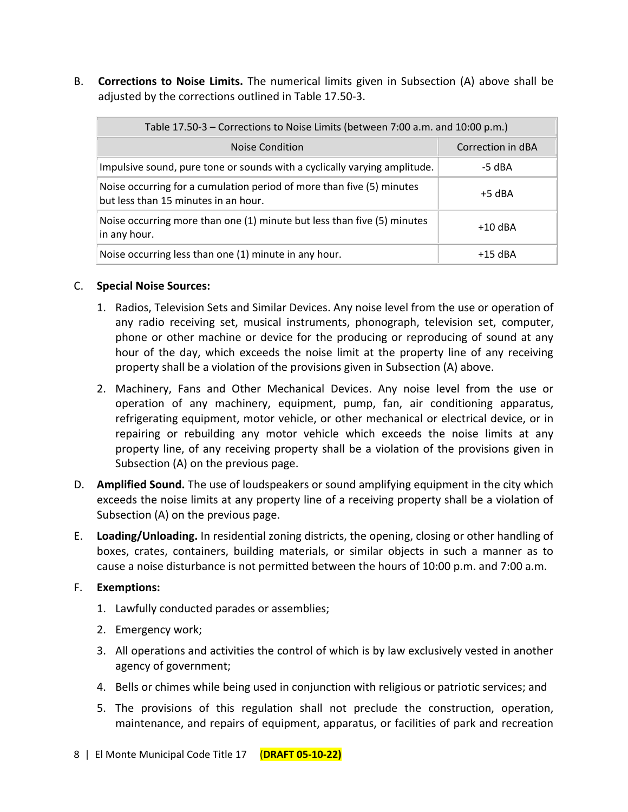B. **Corrections to Noise Limits.** The numerical limits given in Subsection (A) above shall be adjusted by the corrections outlined in Table 17.50-3.

| Table 17.50-3 – Corrections to Noise Limits (between 7:00 a.m. and 10:00 p.m.)                                |                   |  |
|---------------------------------------------------------------------------------------------------------------|-------------------|--|
| <b>Noise Condition</b>                                                                                        | Correction in dBA |  |
| Impulsive sound, pure tone or sounds with a cyclically varying amplitude.                                     | -5 dBA            |  |
| Noise occurring for a cumulation period of more than five (5) minutes<br>but less than 15 minutes in an hour. | $+5$ dBA          |  |
| Noise occurring more than one (1) minute but less than five (5) minutes<br>in any hour.                       | $+10$ dBA         |  |
| Noise occurring less than one (1) minute in any hour.                                                         | $+15$ dBA         |  |

#### C. **Special Noise Sources:**

- 1. Radios, Television Sets and Similar Devices. Any noise level from the use or operation of any radio receiving set, musical instruments, phonograph, television set, computer, phone or other machine or device for the producing or reproducing of sound at any hour of the day, which exceeds the noise limit at the property line of any receiving property shall be a violation of the provisions given in Subsection (A) above.
- 2. Machinery, Fans and Other Mechanical Devices. Any noise level from the use or operation of any machinery, equipment, pump, fan, air conditioning apparatus, refrigerating equipment, motor vehicle, or other mechanical or electrical device, or in repairing or rebuilding any motor vehicle which exceeds the noise limits at any property line, of any receiving property shall be a violation of the provisions given in Subsection (A) on the previous page.
- D. **Amplified Sound.** The use of loudspeakers or sound amplifying equipment in the city which exceeds the noise limits at any property line of a receiving property shall be a violation of Subsection (A) on the previous page.
- E. **Loading/Unloading.** In residential zoning districts, the opening, closing or other handling of boxes, crates, containers, building materials, or similar objects in such a manner as to cause a noise disturbance is not permitted between the hours of 10:00 p.m. and 7:00 a.m.

#### F. **Exemptions:**

- 1. Lawfully conducted parades or assemblies;
- 2. Emergency work;
- 3. All operations and activities the control of which is by law exclusively vested in another agency of government;
- 4. Bells or chimes while being used in conjunction with religious or patriotic services; and
- 5. The provisions of this regulation shall not preclude the construction, operation, maintenance, and repairs of equipment, apparatus, or facilities of park and recreation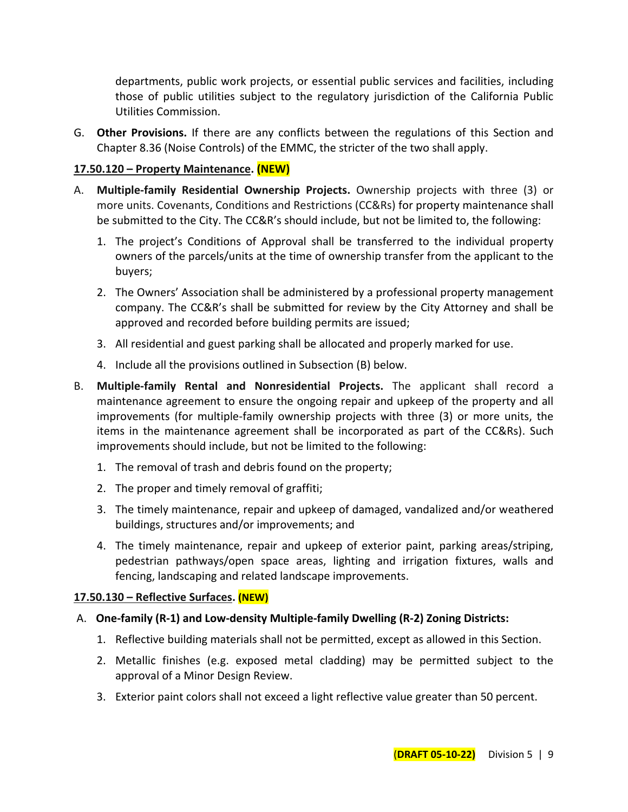departments, public work projects, or essential public services and facilities, including those of public utilities subject to the regulatory jurisdiction of the California Public Utilities Commission.

G. **Other Provisions.** If there are any conflicts between the regulations of this Section and Chapter 8.36 (Noise Controls) of the EMMC, the stricter of the two shall apply.

## **17.50.120 – Property Maintenance. (NEW)**

- A. **Multiple-family Residential Ownership Projects.** Ownership projects with three (3) or more units. Covenants, Conditions and Restrictions (CC&Rs) for property maintenance shall be submitted to the City. The CC&R's should include, but not be limited to, the following:
	- 1. The project's Conditions of Approval shall be transferred to the individual property owners of the parcels/units at the time of ownership transfer from the applicant to the buyers;
	- 2. The Owners' Association shall be administered by a professional property management company. The CC&R's shall be submitted for review by the City Attorney and shall be approved and recorded before building permits are issued;
	- 3. All residential and guest parking shall be allocated and properly marked for use.
	- 4. Include all the provisions outlined in Subsection (B) below.
- B. **Multiple-family Rental and Nonresidential Projects.** The applicant shall record a maintenance agreement to ensure the ongoing repair and upkeep of the property and all improvements (for multiple-family ownership projects with three (3) or more units, the items in the maintenance agreement shall be incorporated as part of the CC&Rs). Such improvements should include, but not be limited to the following:
	- 1. The removal of trash and debris found on the property;
	- 2. The proper and timely removal of graffiti;
	- 3. The timely maintenance, repair and upkeep of damaged, vandalized and/or weathered buildings, structures and/or improvements; and
	- 4. The timely maintenance, repair and upkeep of exterior paint, parking areas/striping, pedestrian pathways/open space areas, lighting and irrigation fixtures, walls and fencing, landscaping and related landscape improvements.

# **17.50.130 – Reflective Surfaces. (NEW)**

# A. **One-family (R-1) and Low-density Multiple-family Dwelling (R-2) Zoning Districts:**

- 1. Reflective building materials shall not be permitted, except as allowed in this Section.
- 2. Metallic finishes (e.g. exposed metal cladding) may be permitted subject to the approval of a Minor Design Review.
- 3. Exterior paint colors shall not exceed a light reflective value greater than 50 percent.